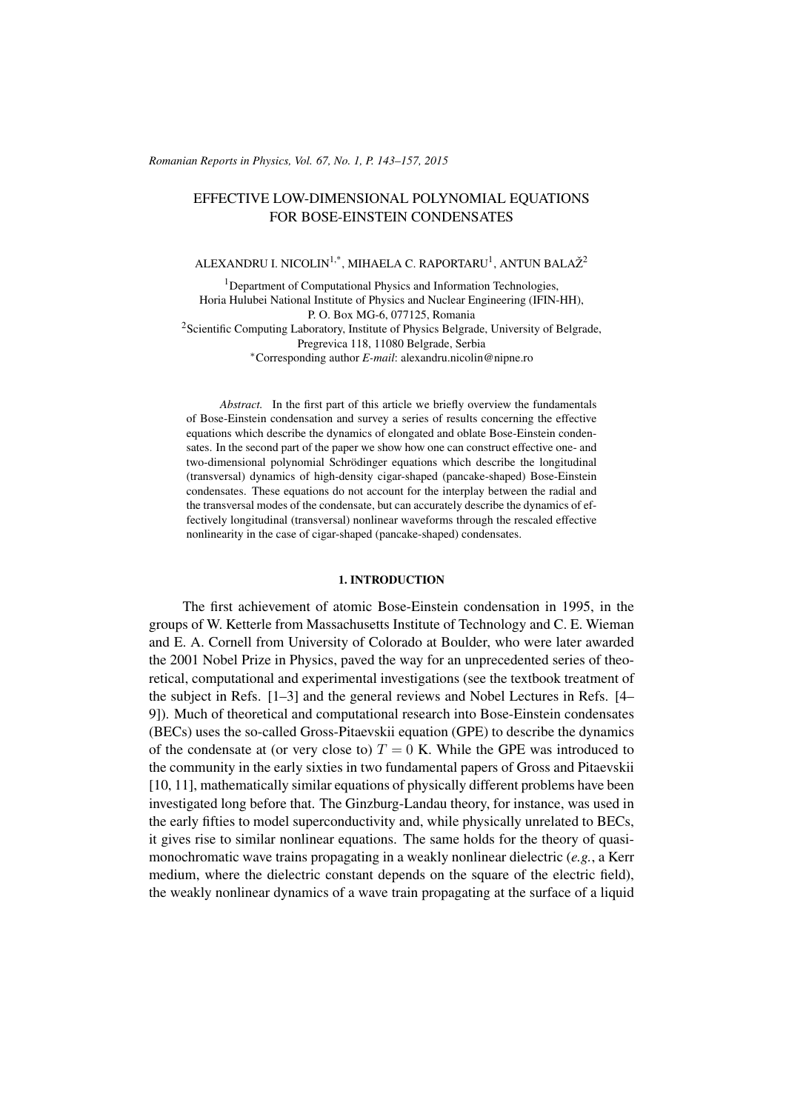#### *Romanian Reports in Physics, Vol. 67, No. 1, P. 143–157, 2015*

# EFFECTIVE LOW-DIMENSIONAL POLYNOMIAL EQUATIONS FOR BOSE-EINSTEIN CONDENSATES

# ALEXANDRU I. NICOLIN $^{1,*}$ , MIHAELA C. RAPORTARU $^1$ , ANTUN BALAŽ $^2$

<sup>1</sup>Department of Computational Physics and Information Technologies, Horia Hulubei National Institute of Physics and Nuclear Engineering (IFIN-HH), P. O. Box MG-6, 077125, Romania

 $2$ Scientific Computing Laboratory, Institute of Physics Belgrade, University of Belgrade, Pregrevica 118, 11080 Belgrade, Serbia

<sup>∗</sup>Corresponding author *E-mail*: alexandru.nicolin@nipne.ro

*Abstract.* In the first part of this article we briefly overview the fundamentals of Bose-Einstein condensation and survey a series of results concerning the effective equations which describe the dynamics of elongated and oblate Bose-Einstein condensates. In the second part of the paper we show how one can construct effective one- and two-dimensional polynomial Schrödinger equations which describe the longitudinal (transversal) dynamics of high-density cigar-shaped (pancake-shaped) Bose-Einstein condensates. These equations do not account for the interplay between the radial and the transversal modes of the condensate, but can accurately describe the dynamics of effectively longitudinal (transversal) nonlinear waveforms through the rescaled effective nonlinearity in the case of cigar-shaped (pancake-shaped) condensates.

#### 1. INTRODUCTION

The first achievement of atomic Bose-Einstein condensation in 1995, in the groups of W. Ketterle from Massachusetts Institute of Technology and C. E. Wieman and E. A. Cornell from University of Colorado at Boulder, who were later awarded the 2001 Nobel Prize in Physics, paved the way for an unprecedented series of theoretical, computational and experimental investigations (see the textbook treatment of the subject in Refs. [\[1](#page-12-0)[–3\]](#page-12-1) and the general reviews and Nobel Lectures in Refs. [\[4–](#page-12-2) [9\]](#page-12-3)). Much of theoretical and computational research into Bose-Einstein condensates (BECs) uses the so-called Gross-Pitaevskii equation (GPE) to describe the dynamics of the condensate at (or very close to)  $T = 0$  K. While the GPE was introduced to the community in the early sixties in two fundamental papers of Gross and Pitaevskii [\[10,](#page-12-4) [11\]](#page-13-0), mathematically similar equations of physically different problems have been investigated long before that. The Ginzburg-Landau theory, for instance, was used in the early fifties to model superconductivity and, while physically unrelated to BECs, it gives rise to similar nonlinear equations. The same holds for the theory of quasimonochromatic wave trains propagating in a weakly nonlinear dielectric (*e.g.*, a Kerr medium, where the dielectric constant depends on the square of the electric field), the weakly nonlinear dynamics of a wave train propagating at the surface of a liquid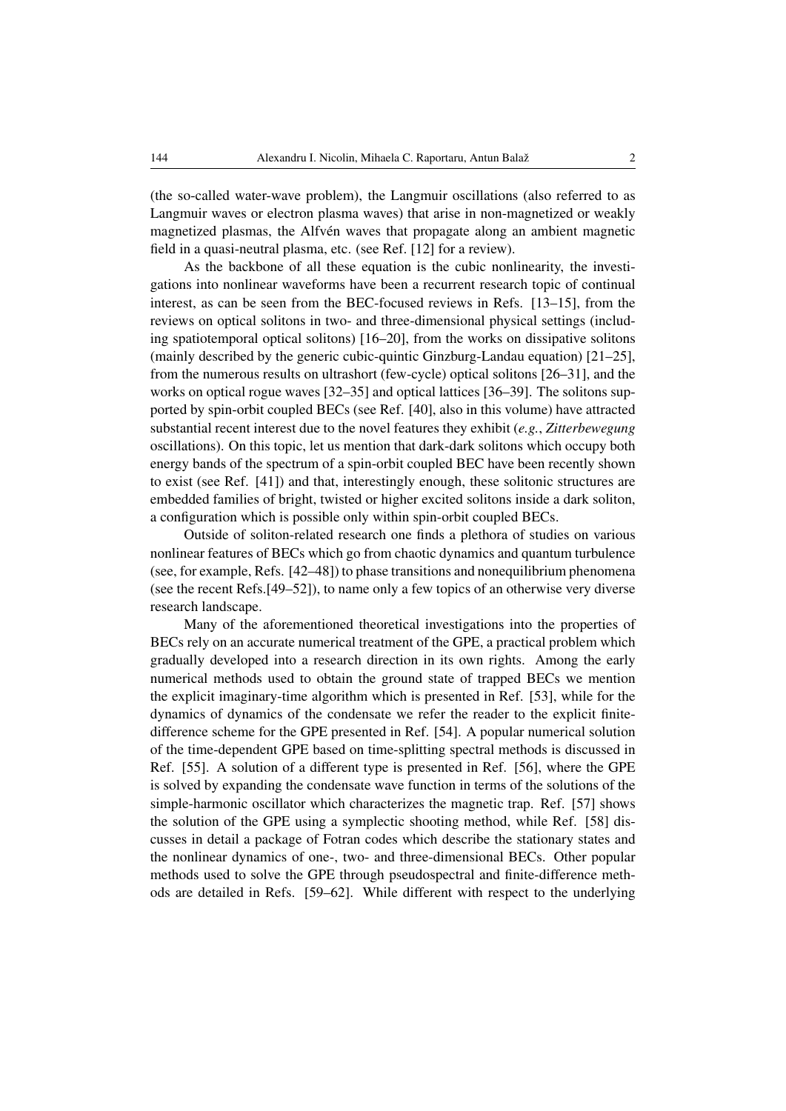(the so-called water-wave problem), the Langmuir oscillations (also referred to as Langmuir waves or electron plasma waves) that arise in non-magnetized or weakly magnetized plasmas, the Alfvén waves that propagate along an ambient magnetic field in a quasi-neutral plasma, etc. (see Ref. [\[12\]](#page-13-1) for a review).

As the backbone of all these equation is the cubic nonlinearity, the investigations into nonlinear waveforms have been a recurrent research topic of continual interest, as can be seen from the BEC-focused reviews in Refs. [\[13](#page-13-2)[–15\]](#page-13-3), from the reviews on optical solitons in two- and three-dimensional physical settings (including spatiotemporal optical solitons) [\[16–](#page-13-4)[20\]](#page-13-5), from the works on dissipative solitons (mainly described by the generic cubic-quintic Ginzburg-Landau equation) [\[21–](#page-13-6)[25\]](#page-13-7), from the numerous results on ultrashort (few-cycle) optical solitons [\[26](#page-13-8)[–31\]](#page-13-9), and the works on optical rogue waves [\[32–](#page-13-10)[35\]](#page-13-11) and optical lattices [\[36–](#page-13-12)[39\]](#page-13-13). The solitons supported by spin-orbit coupled BECs (see Ref. [\[40\]](#page-13-14), also in this volume) have attracted substantial recent interest due to the novel features they exhibit (*e.g.*, *Zitterbewegung* oscillations). On this topic, let us mention that dark-dark solitons which occupy both energy bands of the spectrum of a spin-orbit coupled BEC have been recently shown to exist (see Ref. [\[41\]](#page-13-15)) and that, interestingly enough, these solitonic structures are embedded families of bright, twisted or higher excited solitons inside a dark soliton, a configuration which is possible only within spin-orbit coupled BECs.

Outside of soliton-related research one finds a plethora of studies on various nonlinear features of BECs which go from chaotic dynamics and quantum turbulence (see, for example, Refs. [\[42](#page-13-16)[–48\]](#page-14-0)) to phase transitions and nonequilibrium phenomena (see the recent Refs.[\[49](#page-14-1)[–52\]](#page-14-2)), to name only a few topics of an otherwise very diverse research landscape.

Many of the aforementioned theoretical investigations into the properties of BECs rely on an accurate numerical treatment of the GPE, a practical problem which gradually developed into a research direction in its own rights. Among the early numerical methods used to obtain the ground state of trapped BECs we mention the explicit imaginary-time algorithm which is presented in Ref. [\[53\]](#page-14-3), while for the dynamics of dynamics of the condensate we refer the reader to the explicit finitedifference scheme for the GPE presented in Ref. [\[54\]](#page-14-4). A popular numerical solution of the time-dependent GPE based on time-splitting spectral methods is discussed in Ref. [\[55\]](#page-14-5). A solution of a different type is presented in Ref. [\[56\]](#page-14-6), where the GPE is solved by expanding the condensate wave function in terms of the solutions of the simple-harmonic oscillator which characterizes the magnetic trap. Ref. [\[57\]](#page-14-7) shows the solution of the GPE using a symplectic shooting method, while Ref. [\[58\]](#page-14-8) discusses in detail a package of Fotran codes which describe the stationary states and the nonlinear dynamics of one-, two- and three-dimensional BECs. Other popular methods used to solve the GPE through pseudospectral and finite-difference methods are detailed in Refs. [\[59–](#page-14-9)[62\]](#page-14-10). While different with respect to the underlying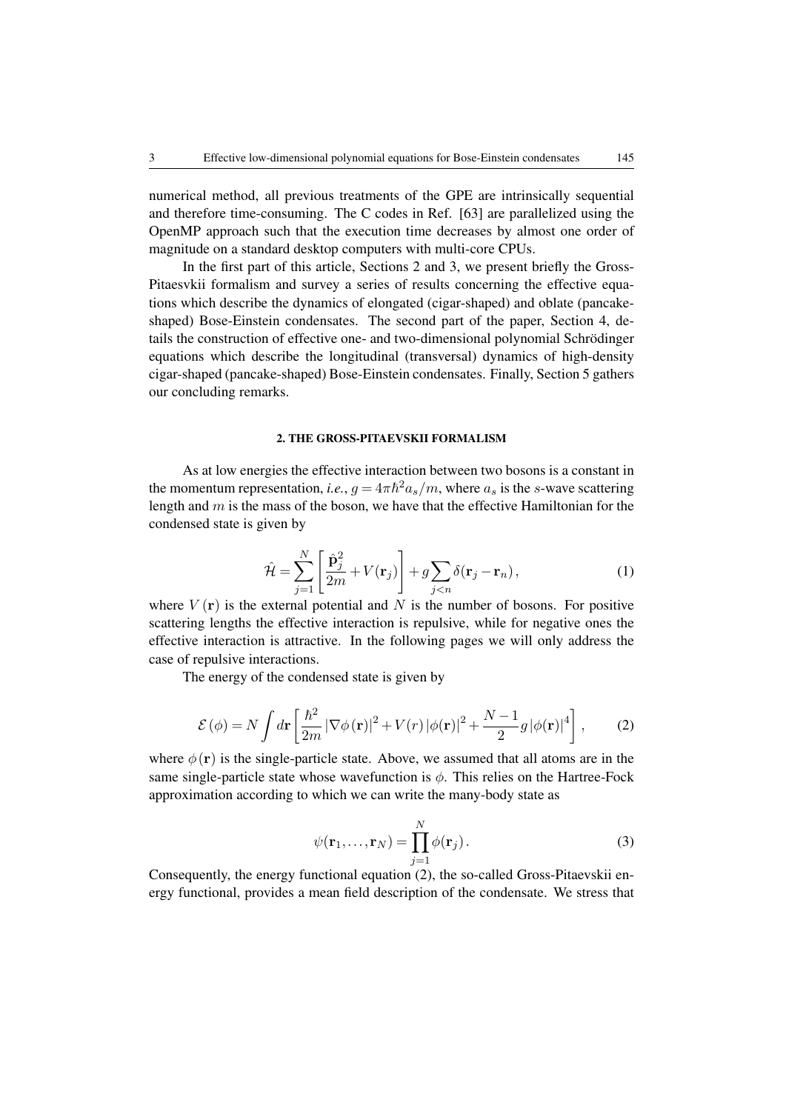numerical method, all previous treatments of the GPE are intrinsically sequential and therefore time-consuming. The C codes in Ref. [\[63\]](#page-14-11) are parallelized using the OpenMP approach such that the execution time decreases by almost one order of magnitude on a standard desktop computers with multi-core CPUs.

In the first part of this article, Sections 2 and 3, we present briefly the Gross-Pitaesvkii formalism and survey a series of results concerning the effective equations which describe the dynamics of elongated (cigar-shaped) and oblate (pancakeshaped) Bose-Einstein condensates. The second part of the paper, Section 4, details the construction of effective one- and two-dimensional polynomial Schrödinger equations which describe the longitudinal (transversal) dynamics of high-density cigar-shaped (pancake-shaped) Bose-Einstein condensates. Finally, Section 5 gathers our concluding remarks.

# 2. THE GROSS-PITAEVSKII FORMALISM

As at low energies the effective interaction between two bosons is a constant in the momentum representation, *i.e.*,  $g = 4\pi\hbar^2 a_s/m$ , where  $a_s$  is the *s*-wave scattering length and  $m$  is the mass of the boson, we have that the effective Hamiltonian for the condensed state is given by

$$
\hat{\mathcal{H}} = \sum_{j=1}^{N} \left[ \frac{\hat{\mathbf{p}}_j^2}{2m} + V(\mathbf{r}_j) \right] + g \sum_{j < n} \delta(\mathbf{r}_j - \mathbf{r}_n),\tag{1}
$$

where  $V(\mathbf{r})$  is the external potential and N is the number of bosons. For positive scattering lengths the effective interaction is repulsive, while for negative ones the effective interaction is attractive. In the following pages we will only address the case of repulsive interactions.

<span id="page-2-0"></span>The energy of the condensed state is given by

$$
\mathcal{E}(\phi) = N \int d\mathbf{r} \left[ \frac{\hbar^2}{2m} |\nabla \phi(\mathbf{r})|^2 + V(r) |\phi(\mathbf{r})|^2 + \frac{N-1}{2} g |\phi(\mathbf{r})|^4 \right],\tag{2}
$$

where  $\phi(\mathbf{r})$  is the single-particle state. Above, we assumed that all atoms are in the same single-particle state whose wavefunction is  $\phi$ . This relies on the Hartree-Fock approximation according to which we can write the many-body state as

$$
\psi(\mathbf{r}_1,\ldots,\mathbf{r}_N) = \prod_{j=1}^N \phi(\mathbf{r}_j).
$$
\n(3)

Consequently, the energy functional equation [\(2\)](#page-2-0), the so-called Gross-Pitaevskii energy functional, provides a mean field description of the condensate. We stress that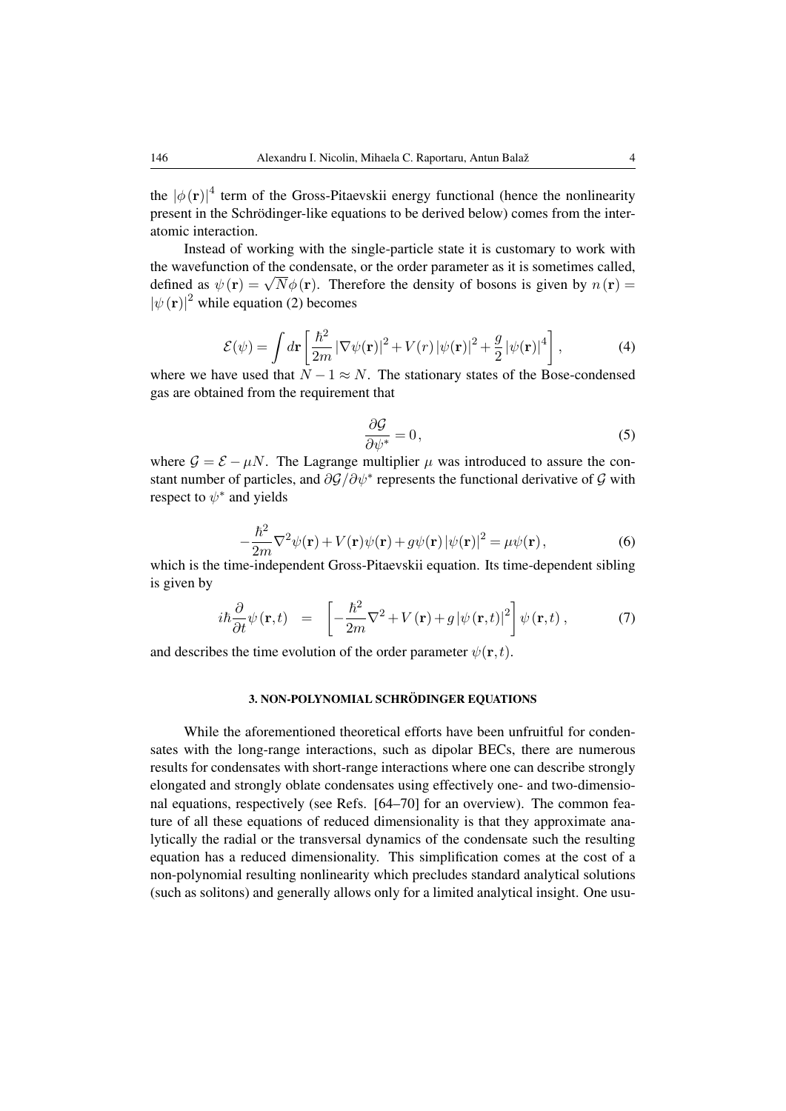the  $|\phi(\mathbf{r})|^4$  term of the Gross-Pitaevskii energy functional (hence the nonlinearity present in the Schrödinger-like equations to be derived below) comes from the interatomic interaction.

Instead of working with the single-particle state it is customary to work with the wavefunction of the condensate, or the order parameter as it is sometimes called, defined as  $\psi(\mathbf{r}) = \sqrt{N} \phi(\mathbf{r})$ . Therefore the density of bosons is given by  $n(\mathbf{r}) =$  $|\psi(\mathbf{r})|^2$  while equation [\(2\)](#page-2-0) becomes

$$
\mathcal{E}(\psi) = \int d\mathbf{r} \left[ \frac{\hbar^2}{2m} |\nabla \psi(\mathbf{r})|^2 + V(r) |\psi(\mathbf{r})|^2 + \frac{g}{2} |\psi(\mathbf{r})|^4 \right],\tag{4}
$$

where we have used that  $N - 1 \approx N$ . The stationary states of the Bose-condensed gas are obtained from the requirement that

$$
\frac{\partial \mathcal{G}}{\partial \psi^*} = 0,\tag{5}
$$

where  $G = \mathcal{E} - \mu N$ . The Lagrange multiplier  $\mu$  was introduced to assure the constant number of particles, and  $\partial \mathcal{G}/\partial \psi^*$  represents the functional derivative of  $\mathcal G$  with respect to  $\psi^*$  and yields

$$
-\frac{\hbar^2}{2m}\nabla^2\psi(\mathbf{r}) + V(\mathbf{r})\psi(\mathbf{r}) + g\psi(\mathbf{r})|\psi(\mathbf{r})|^2 = \mu\psi(\mathbf{r}),\tag{6}
$$

which is the time-independent Gross-Pitaevskii equation. Its time-dependent sibling is given by

<span id="page-3-0"></span>
$$
i\hbar \frac{\partial}{\partial t} \psi(\mathbf{r}, t) = \left[ -\frac{\hbar^2}{2m} \nabla^2 + V(\mathbf{r}) + g |\psi(\mathbf{r}, t)|^2 \right] \psi(\mathbf{r}, t) , \qquad (7)
$$

and describes the time evolution of the order parameter  $\psi(\mathbf{r}, t)$ .

#### 3. NON-POLYNOMIAL SCHRÖDINGER EQUATIONS

While the aforementioned theoretical efforts have been unfruitful for condensates with the long-range interactions, such as dipolar BECs, there are numerous results for condensates with short-range interactions where one can describe strongly elongated and strongly oblate condensates using effectively one- and two-dimensional equations, respectively (see Refs. [\[64](#page-14-12)[–70\]](#page-14-13) for an overview). The common feature of all these equations of reduced dimensionality is that they approximate analytically the radial or the transversal dynamics of the condensate such the resulting equation has a reduced dimensionality. This simplification comes at the cost of a non-polynomial resulting nonlinearity which precludes standard analytical solutions (such as solitons) and generally allows only for a limited analytical insight. One usu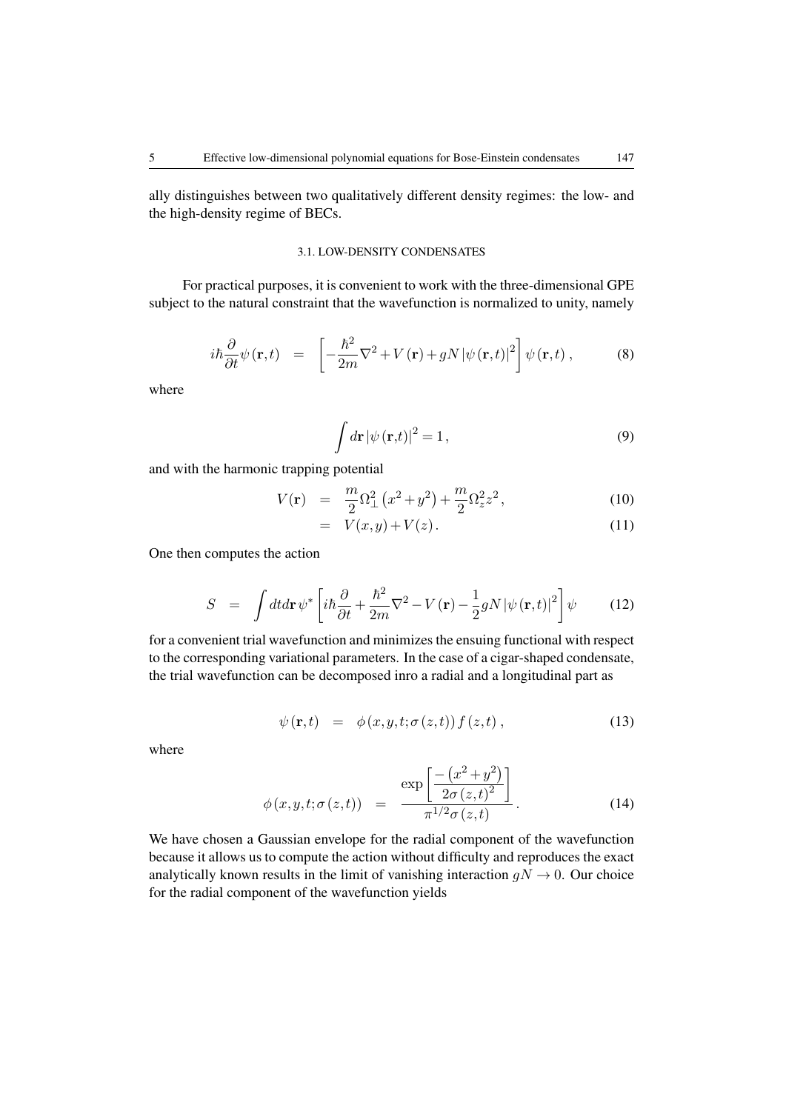ally distinguishes between two qualitatively different density regimes: the low- and the high-density regime of BECs.

#### 3.1. LOW-DENSITY CONDENSATES

For practical purposes, it is convenient to work with the three-dimensional GPE subject to the natural constraint that the wavefunction is normalized to unity, namely

$$
i\hbar \frac{\partial}{\partial t} \psi(\mathbf{r}, t) = \left[ -\frac{\hbar^2}{2m} \nabla^2 + V(\mathbf{r}) + gN |\psi(\mathbf{r}, t)|^2 \right] \psi(\mathbf{r}, t) , \qquad (8)
$$

where

$$
\int d\mathbf{r} |\psi(\mathbf{r},t)|^2 = 1,
$$
\n(9)

and with the harmonic trapping potential

$$
V(\mathbf{r}) = \frac{m}{2}\Omega_{\perp}^{2}(x^{2}+y^{2}) + \frac{m}{2}\Omega_{z}^{2}z^{2}, \qquad (10)
$$

$$
= V(x,y) + V(z). \tag{11}
$$

One then computes the action

$$
S = \int dt d\mathbf{r} \,\psi^* \left[ i\hbar \frac{\partial}{\partial t} + \frac{\hbar^2}{2m} \nabla^2 - V(\mathbf{r}) - \frac{1}{2} g N |\psi(\mathbf{r}, t)|^2 \right] \psi \tag{12}
$$

for a convenient trial wavefunction and minimizes the ensuing functional with respect to the corresponding variational parameters. In the case of a cigar-shaped condensate, the trial wavefunction can be decomposed inro a radial and a longitudinal part as

$$
\psi(\mathbf{r},t) = \phi(x,y,t;\sigma(z,t))f(z,t), \qquad (13)
$$

where

$$
\phi(x, y, t; \sigma(z, t)) = \frac{\exp\left[\frac{-(x^2 + y^2)}{2\sigma(z, t)^2}\right]}{\pi^{1/2} \sigma(z, t)}.
$$
\n(14)

We have chosen a Gaussian envelope for the radial component of the wavefunction because it allows us to compute the action without difficulty and reproduces the exact analytically known results in the limit of vanishing interaction  $gN \to 0$ . Our choice for the radial component of the wavefunction yields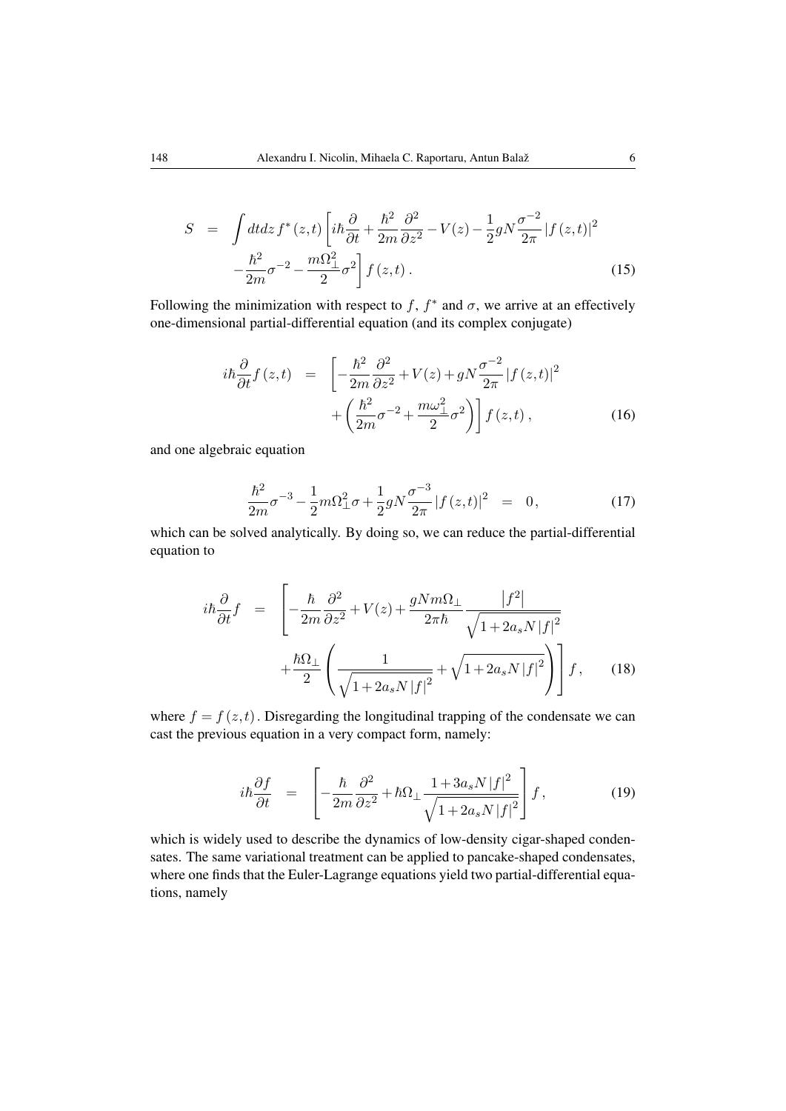$$
S = \int dt dz f^*(z,t) \left[ i\hbar \frac{\partial}{\partial t} + \frac{\hbar^2}{2m} \frac{\partial^2}{\partial z^2} - V(z) - \frac{1}{2} g N \frac{\sigma^{-2}}{2\pi} |f(z,t)|^2 - \frac{\hbar^2}{2m} \sigma^{-2} - \frac{m\Omega_{\perp}^2}{2} \sigma^2 \right] f(z,t).
$$
\n(15)

Following the minimization with respect to f,  $f^*$  and  $\sigma$ , we arrive at an effectively one-dimensional partial-differential equation (and its complex conjugate)

$$
i\hbar \frac{\partial}{\partial t} f(z,t) = \left[ -\frac{\hbar^2}{2m} \frac{\partial^2}{\partial z^2} + V(z) + gN \frac{\sigma^{-2}}{2\pi} |f(z,t)|^2 + \left( \frac{\hbar^2}{2m} \sigma^{-2} + \frac{m\omega_{\perp}^2}{2} \sigma^2 \right) \right] f(z,t) ,
$$
 (16)

and one algebraic equation

<span id="page-5-1"></span>
$$
\frac{\hbar^2}{2m}\sigma^{-3} - \frac{1}{2}m\Omega_{\perp}^2\sigma + \frac{1}{2}gN\frac{\sigma^{-3}}{2\pi}|f(z,t)|^2 = 0, \qquad (17)
$$

which can be solved analytically. By doing so, we can reduce the partial-differential equation to

<span id="page-5-0"></span>
$$
i\hbar \frac{\partial}{\partial t} f = \left[ -\frac{\hbar}{2m} \frac{\partial^2}{\partial z^2} + V(z) + \frac{gNm\Omega_\perp}{2\pi\hbar} \frac{|f^2|}{\sqrt{1 + 2a_s N |f|^2}} + \frac{\hbar \Omega_\perp}{2} \left( \frac{1}{\sqrt{1 + 2a_s N |f|^2}} + \sqrt{1 + 2a_s N |f|^2} \right) \right] f,
$$
 (18)

where  $f = f(z, t)$ . Disregarding the longitudinal trapping of the condensate we can cast the previous equation in a very compact form, namely:

$$
i\hbar \frac{\partial f}{\partial t} = \left[ -\frac{\hbar}{2m} \frac{\partial^2}{\partial z^2} + \hbar \Omega_\perp \frac{1 + 3a_s N |f|^2}{\sqrt{1 + 2a_s N |f|^2}} \right] f,\tag{19}
$$

which is widely used to describe the dynamics of low-density cigar-shaped condensates. The same variational treatment can be applied to pancake-shaped condensates, where one finds that the Euler-Lagrange equations yield two partial-differential equations, namely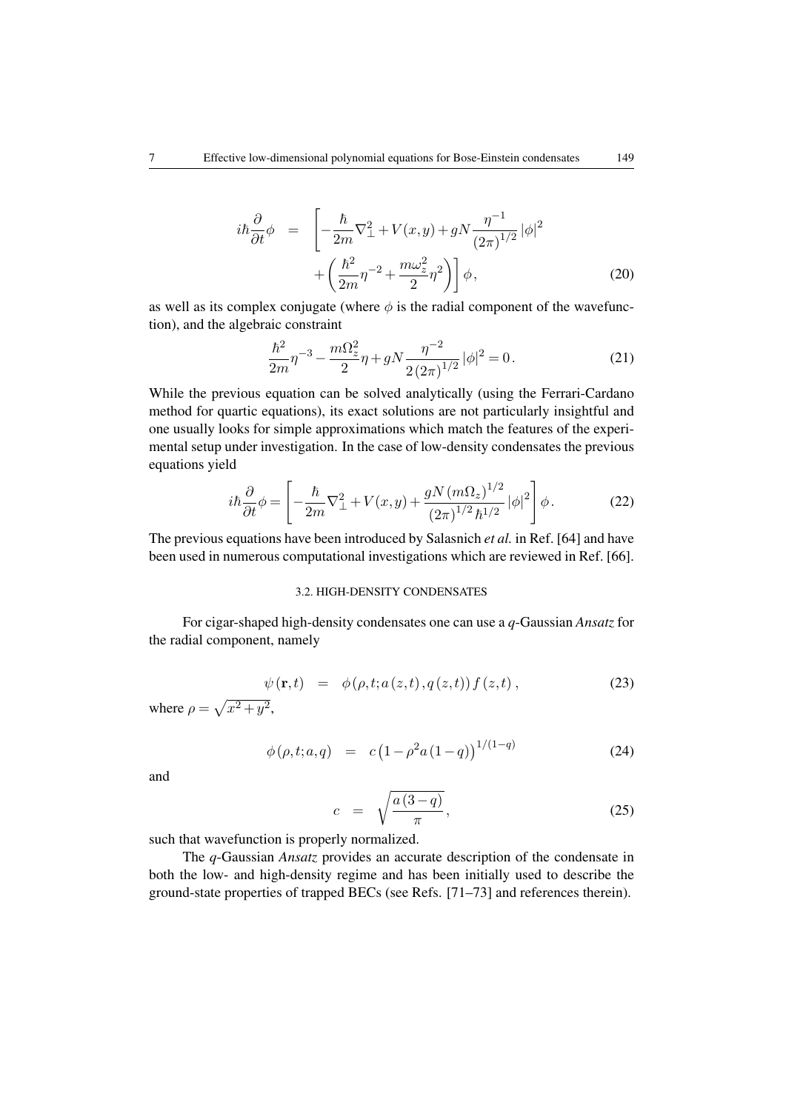$$
i\hbar \frac{\partial}{\partial t} \phi = \left[ -\frac{\hbar}{2m} \nabla_{\perp}^2 + V(x, y) + gN \frac{\eta^{-1}}{(2\pi)^{1/2}} |\phi|^2 + \left( \frac{\hbar^2}{2m} \eta^{-2} + \frac{m\omega_z^2}{2} \eta^2 \right) \right] \phi, \tag{20}
$$

as well as its complex conjugate (where  $\phi$  is the radial component of the wavefunction), and the algebraic constraint

$$
\frac{\hbar^2}{2m}\eta^{-3} - \frac{m\Omega_z^2}{2}\eta + gN\frac{\eta^{-2}}{2(2\pi)^{1/2}}|\phi|^2 = 0.
$$
 (21)

While the previous equation can be solved analytically (using the Ferrari-Cardano method for quartic equations), its exact solutions are not particularly insightful and one usually looks for simple approximations which match the features of the experimental setup under investigation. In the case of low-density condensates the previous equations yield

$$
i\hbar\frac{\partial}{\partial t}\phi = \left[ -\frac{\hbar}{2m}\nabla_{\perp}^2 + V(x,y) + \frac{gN(m\Omega_z)^{1/2}}{(2\pi)^{1/2}\hbar^{1/2}} |\phi|^2 \right] \phi.
$$
 (22)

The previous equations have been introduced by Salasnich *et al.* in Ref. [\[64\]](#page-14-12) and have been used in numerous computational investigations which are reviewed in Ref. [\[66\]](#page-14-14).

# 3.2. HIGH-DENSITY CONDENSATES

For cigar-shaped high-density condensates one can use a *q*-Gaussian *Ansatz* for the radial component, namely

$$
\psi(\mathbf{r},t) = \phi(\rho,t;a(z,t),q(z,t))f(z,t), \qquad (23)
$$

where  $\rho = \sqrt{x^2 + y^2}$ ,

$$
\phi(\rho, t; a, q) = c \left(1 - \rho^2 a \left(1 - q\right)\right)^{1/(1-q)} \tag{24}
$$

and

$$
c = \sqrt{\frac{a(3-q)}{\pi}}, \qquad (25)
$$

such that wavefunction is properly normalized.

The *q*-Gaussian *Ansatz* provides an accurate description of the condensate in both the low- and high-density regime and has been initially used to describe the ground-state properties of trapped BECs (see Refs. [\[71](#page-14-15)[–73\]](#page-14-16) and references therein).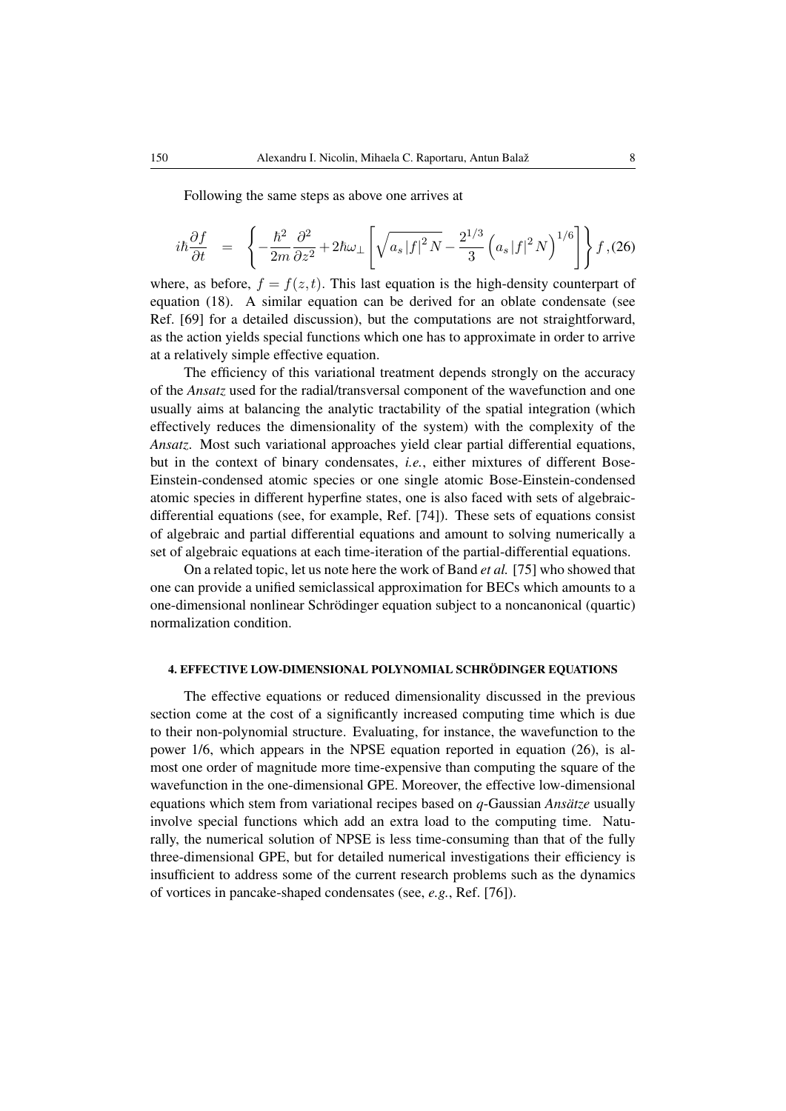Following the same steps as above one arrives at

<span id="page-7-0"></span>
$$
i\hbar\frac{\partial f}{\partial t} = \left\{-\frac{\hbar^2}{2m}\frac{\partial^2}{\partial z^2} + 2\hbar\omega_\perp \left[\sqrt{a_s|f|^2N} - \frac{2^{1/3}}{3}\left(a_s|f|^2N\right)^{1/6}\right]\right\}f,(26)
$$

where, as before,  $f = f(z, t)$ . This last equation is the high-density counterpart of equation [\(18\)](#page-5-0). A similar equation can be derived for an oblate condensate (see Ref. [\[69\]](#page-14-17) for a detailed discussion), but the computations are not straightforward, as the action yields special functions which one has to approximate in order to arrive at a relatively simple effective equation.

The efficiency of this variational treatment depends strongly on the accuracy of the *Ansatz* used for the radial/transversal component of the wavefunction and one usually aims at balancing the analytic tractability of the spatial integration (which effectively reduces the dimensionality of the system) with the complexity of the *Ansatz*. Most such variational approaches yield clear partial differential equations, but in the context of binary condensates, *i.e.*, either mixtures of different Bose-Einstein-condensed atomic species or one single atomic Bose-Einstein-condensed atomic species in different hyperfine states, one is also faced with sets of algebraicdifferential equations (see, for example, Ref. [\[74\]](#page-14-18)). These sets of equations consist of algebraic and partial differential equations and amount to solving numerically a set of algebraic equations at each time-iteration of the partial-differential equations.

On a related topic, let us note here the work of Band *et al.* [\[75\]](#page-14-19) who showed that one can provide a unified semiclassical approximation for BECs which amounts to a one-dimensional nonlinear Schrodinger equation subject to a noncanonical (quartic) ¨ normalization condition.

# 4. EFFECTIVE LOW-DIMENSIONAL POLYNOMIAL SCHRÖDINGER EQUATIONS

The effective equations or reduced dimensionality discussed in the previous section come at the cost of a significantly increased computing time which is due to their non-polynomial structure. Evaluating, for instance, the wavefunction to the power 1/6, which appears in the NPSE equation reported in equation [\(26\)](#page-7-0), is almost one order of magnitude more time-expensive than computing the square of the wavefunction in the one-dimensional GPE. Moreover, the effective low-dimensional equations which stem from variational recipes based on *q*-Gaussian *Ansatze* usually involve special functions which add an extra load to the computing time. Naturally, the numerical solution of NPSE is less time-consuming than that of the fully three-dimensional GPE, but for detailed numerical investigations their efficiency is insufficient to address some of the current research problems such as the dynamics of vortices in pancake-shaped condensates (see, *e.g.*, Ref. [\[76\]](#page-14-20)).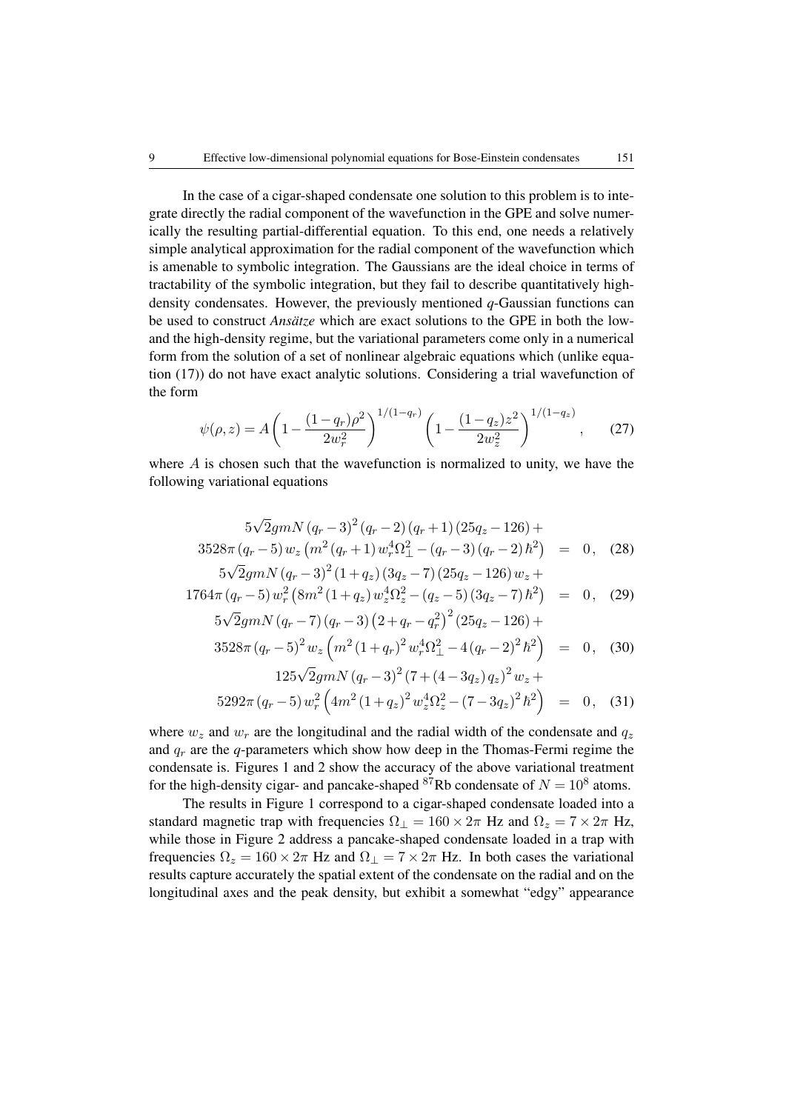In the case of a cigar-shaped condensate one solution to this problem is to integrate directly the radial component of the wavefunction in the GPE and solve numerically the resulting partial-differential equation. To this end, one needs a relatively simple analytical approximation for the radial component of the wavefunction which is amenable to symbolic integration. The Gaussians are the ideal choice in terms of tractability of the symbolic integration, but they fail to describe quantitatively highdensity condensates. However, the previously mentioned *q*-Gaussian functions can be used to construct *Ansätze* which are exact solutions to the GPE in both the lowand the high-density regime, but the variational parameters come only in a numerical form from the solution of a set of nonlinear algebraic equations which (unlike equation [\(17\)](#page-5-1)) do not have exact analytic solutions. Considering a trial wavefunction of the form

$$
\psi(\rho, z) = A \left( 1 - \frac{(1 - q_r)\rho^2}{2w_r^2} \right)^{1/(1 - q_r)} \left( 1 - \frac{(1 - q_z)z^2}{2w_z^2} \right)^{1/(1 - q_z)},\tag{27}
$$

where  $A$  is chosen such that the wavefunction is normalized to unity, we have the following variational equations

<span id="page-8-0"></span>
$$
5\sqrt{2}gmN (q_r-3)^2 (q_r-2) (q_r+1) (25q_z-126) +\n3528\pi (q_r-5) w_z (m^2 (q_r+1) w_r^4 \Omega_{\perp}^2 - (q_r-3) (q_r-2) \hbar^2) = 0, (28)\n5\sqrt{2}gmN (q_r-3)^2 (1+q_z) (3q_z-7) (25q_z-126) w_z +
$$

$$
1764\pi (q_r - 5) w_r^2 (8m^2 (1+q_z) w_z^4 \Omega_z^2 - (q_z - 5) (3q_z - 7) \hbar^2) = 0, \quad (29)
$$

$$
5\sqrt{2}gmN(q_r - 7)(q_r - 3)(2 + q_r - q_r^2)^2(25q_z - 126) +
$$
  

$$
3528\pi (q_r - 5)^2 w_z \left(m^2 (1 + q_r)^2 w_r^4 \Omega_{\perp}^2 - 4(q_r - 2)^2 \hbar^2\right) = 0, \quad (30)
$$

$$
125\sqrt{2}gmN (q_r-3)^2 (7+(4-3q_z) q_z)^2 w_z + 5292\pi (q_r-5) w_r^2 (4m^2 (1+q_z)^2 w_z^4 \Omega_z^2 - (7-3q_z)^2 \hbar^2) = 0, \quad (31)
$$

where  $w_z$  and  $w_r$  are the longitudinal and the radial width of the condensate and  $q_z$ and  $q_r$  are the *q*-parameters which show how deep in the Thomas-Fermi regime the condensate is. Figures [1](#page-9-0) and [2](#page-10-0) show the accuracy of the above variational treatment for the high-density cigar- and pancake-shaped <sup>87</sup>Rb condensate of  $N = 10^8$  atoms.

The results in Figure [1](#page-9-0) correspond to a cigar-shaped condensate loaded into a standard magnetic trap with frequencies  $\Omega_{\perp} = 160 \times 2\pi$  Hz and  $\Omega_z = 7 \times 2\pi$  Hz, while those in Figure [2](#page-10-0) address a pancake-shaped condensate loaded in a trap with frequencies  $\Omega_z = 160 \times 2\pi$  Hz and  $\Omega_{\perp} = 7 \times 2\pi$  Hz. In both cases the variational results capture accurately the spatial extent of the condensate on the radial and on the longitudinal axes and the peak density, but exhibit a somewhat "edgy" appearance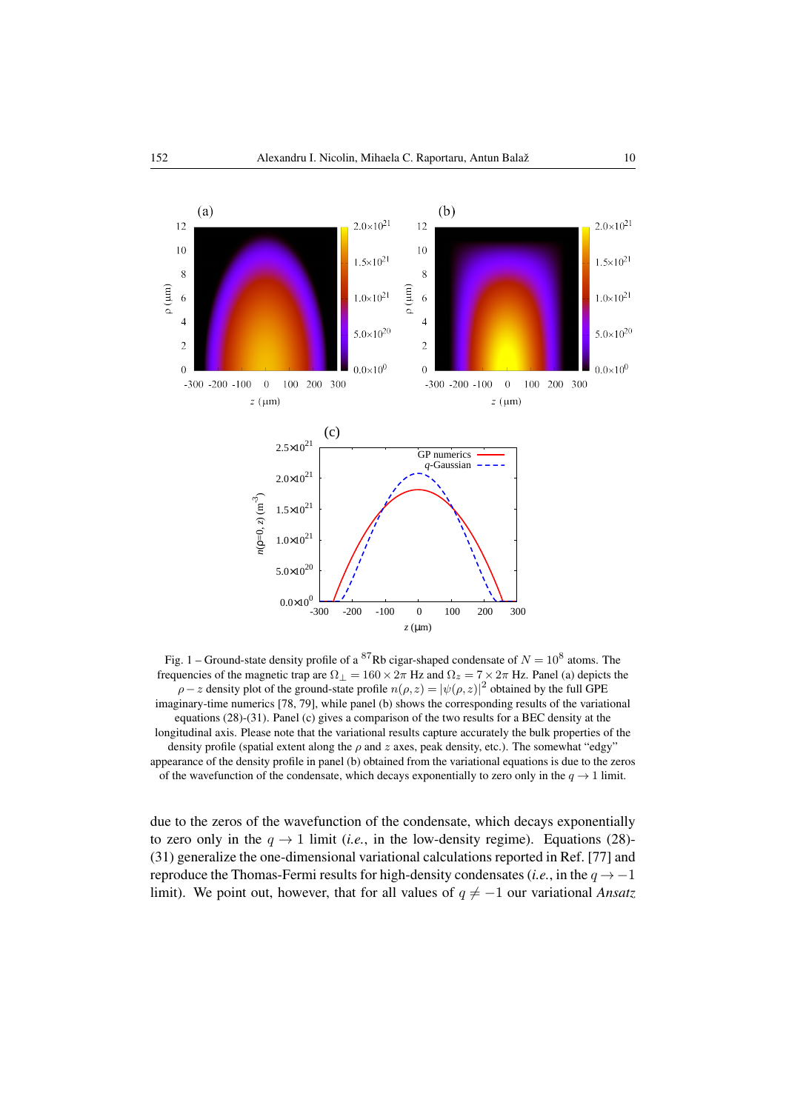

<span id="page-9-0"></span>Fig. 1 – Ground-state density profile of a <sup>87</sup>Rb cigar-shaped condensate of  $N = 10^8$  atoms. The frequencies of the magnetic trap are  $\Omega_{\perp} = 160 \times 2\pi$  Hz and  $\Omega_z = 7 \times 2\pi$  Hz. Panel (a) depicts the  $\rho$  – z density plot of the ground-state profile  $n(\rho, z) = |\psi(\rho, z)|^2$  obtained by the full GPE imaginary-time numerics [\[78,](#page-14-21) [79\]](#page-14-22), while panel (b) shows the corresponding results of the variational equations [\(28\)](#page-8-0)-[\(31\)](#page-8-0). Panel (c) gives a comparison of the two results for a BEC density at the longitudinal axis. Please note that the variational results capture accurately the bulk properties of the density profile (spatial extent along the  $\rho$  and z axes, peak density, etc.). The somewhat "edgy" appearance of the density profile in panel (b) obtained from the variational equations is due to the zeros of the wavefunction of the condensate, which decays exponentially to zero only in the  $q \rightarrow 1$  limit.

due to the zeros of the wavefunction of the condensate, which decays exponentially to zero only in the  $q \to 1$  limit (*i.e.*, in the low-density regime). Equations [\(28\)](#page-8-0)-[\(31\)](#page-8-0) generalize the one-dimensional variational calculations reported in Ref. [\[77\]](#page-14-23) and reproduce the Thomas-Fermi results for high-density condensates (*i.e.*, in the  $q \rightarrow -1$ limit). We point out, however, that for all values of  $q \neq -1$  our variational *Ansatz*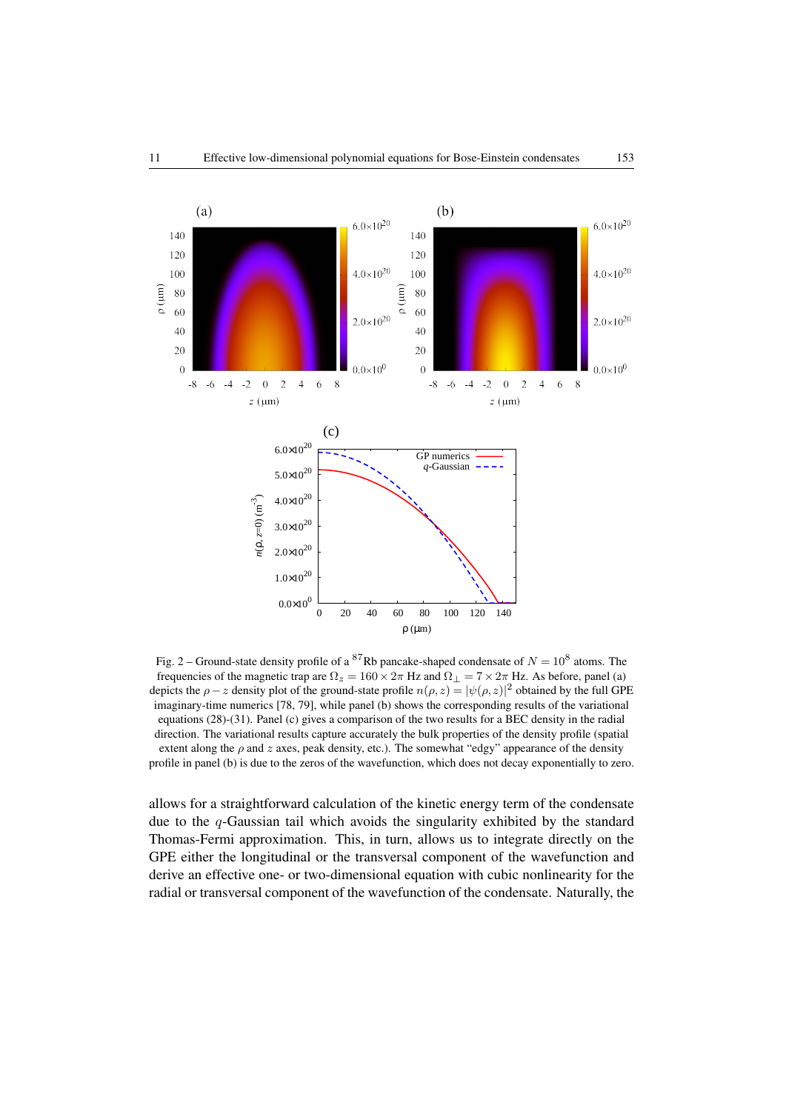

<span id="page-10-0"></span>Fig. 2 – Ground-state density profile of a <sup>87</sup>Rb pancake-shaped condensate of  $N = 10^8$  atoms. The frequencies of the magnetic trap are  $\Omega_z = 160 \times 2\pi$  Hz and  $\Omega_{\perp} = 7 \times 2\pi$  Hz. As before, panel (a) depicts the  $\rho - z$  density plot of the ground-state profile  $n(\rho, z) = |\psi(\rho, z)|^2$  obtained by the full GPE imaginary-time numerics [\[78,](#page-14-21) [79\]](#page-14-22), while panel (b) shows the corresponding results of the variational equations [\(28\)](#page-8-0)-[\(31\)](#page-8-0). Panel (c) gives a comparison of the two results for a BEC density in the radial direction. The variational results capture accurately the bulk properties of the density profile (spatial extent along the  $\rho$  and  $z$  axes, peak density, etc.). The somewhat "edgy" appearance of the density profile in panel (b) is due to the zeros of the wavefunction, which does not decay exponentially to zero.

allows for a straightforward calculation of the kinetic energy term of the condensate due to the  $q$ -Gaussian tail which avoids the singularity exhibited by the standard Thomas-Fermi approximation. This, in turn, allows us to integrate directly on the GPE either the longitudinal or the transversal component of the wavefunction and derive an effective one- or two-dimensional equation with cubic nonlinearity for the radial or transversal component of the wavefunction of the condensate. Naturally, the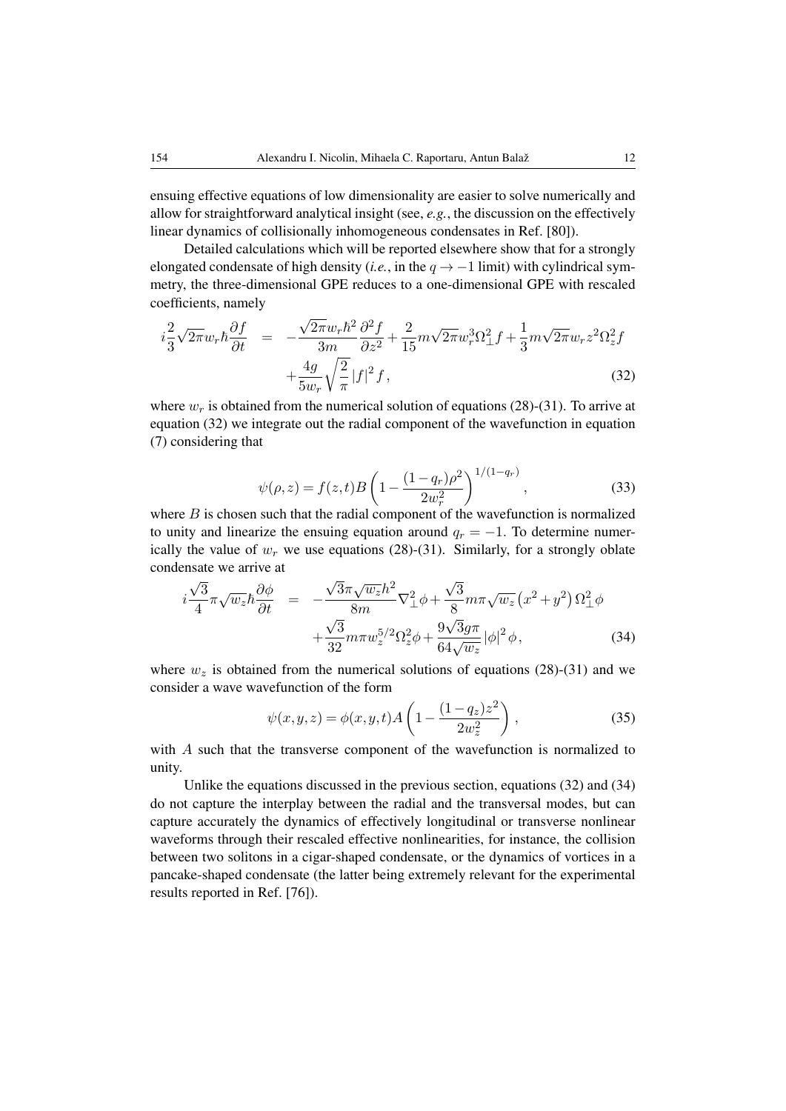ensuing effective equations of low dimensionality are easier to solve numerically and allow for straightforward analytical insight (see, *e.g.*, the discussion on the effectively linear dynamics of collisionally inhomogeneous condensates in Ref. [\[80\]](#page-14-24)).

Detailed calculations which will be reported elsewhere show that for a strongly elongated condensate of high density (*i.e.*, in the  $q \rightarrow -1$  limit) with cylindrical symmetry, the three-dimensional GPE reduces to a one-dimensional GPE with rescaled coefficients, namely

<span id="page-11-0"></span>
$$
i\frac{2}{3}\sqrt{2\pi}w_r\hbar\frac{\partial f}{\partial t} = -\frac{\sqrt{2\pi}w_r\hbar^2}{3m}\frac{\partial^2 f}{\partial z^2} + \frac{2}{15}m\sqrt{2\pi}w_r^3\Omega_{\perp}^2 f + \frac{1}{3}m\sqrt{2\pi}w_r z^2\Omega_z^2 f
$$

$$
+ \frac{4g}{5w_r}\sqrt{\frac{2}{\pi}}|f|^2 f,
$$
(32)

where  $w_r$  is obtained from the numerical solution of equations [\(28\)](#page-8-0)-[\(31\)](#page-8-0). To arrive at equation [\(32\)](#page-11-0) we integrate out the radial component of the wavefunction in equation [\(7\)](#page-3-0) considering that

$$
\psi(\rho, z) = f(z, t)B \left( 1 - \frac{(1 - q_r)\rho^2}{2w_r^2} \right)^{1/(1 - q_r)}, \qquad (33)
$$

where  $B$  is chosen such that the radial component of the wavefunction is normalized to unity and linearize the ensuing equation around  $q_r = -1$ . To determine numerically the value of  $w_r$  we use equations [\(28\)](#page-8-0)-[\(31\)](#page-8-0). Similarly, for a strongly oblate condensate we arrive at

<span id="page-11-1"></span>
$$
i\frac{\sqrt{3}}{4}\pi\sqrt{w_z}\hbar\frac{\partial\phi}{\partial t} = -\frac{\sqrt{3}\pi\sqrt{w_z}\hbar^2}{8m}\nabla_\perp^2\phi + \frac{\sqrt{3}}{8}m\pi\sqrt{w_z}\left(x^2 + y^2\right)\Omega_\perp^2\phi
$$

$$
+\frac{\sqrt{3}}{32}m\pi w_z^{5/2}\Omega_z^2\phi + \frac{9\sqrt{3}g\pi}{64\sqrt{w_z}}|\phi|^2\phi,
$$
(34)

where  $w_z$  is obtained from the numerical solutions of equations [\(28\)](#page-8-0)-[\(31\)](#page-8-0) and we consider a wave wavefunction of the form

$$
\psi(x, y, z) = \phi(x, y, t) A \left( 1 - \frac{(1 - q_z) z^2}{2 w_z^2} \right),
$$
\n(35)

with A such that the transverse component of the wavefunction is normalized to unity.

Unlike the equations discussed in the previous section, equations [\(32\)](#page-11-0) and [\(34\)](#page-11-1) do not capture the interplay between the radial and the transversal modes, but can capture accurately the dynamics of effectively longitudinal or transverse nonlinear waveforms through their rescaled effective nonlinearities, for instance, the collision between two solitons in a cigar-shaped condensate, or the dynamics of vortices in a pancake-shaped condensate (the latter being extremely relevant for the experimental results reported in Ref. [\[76\]](#page-14-20)).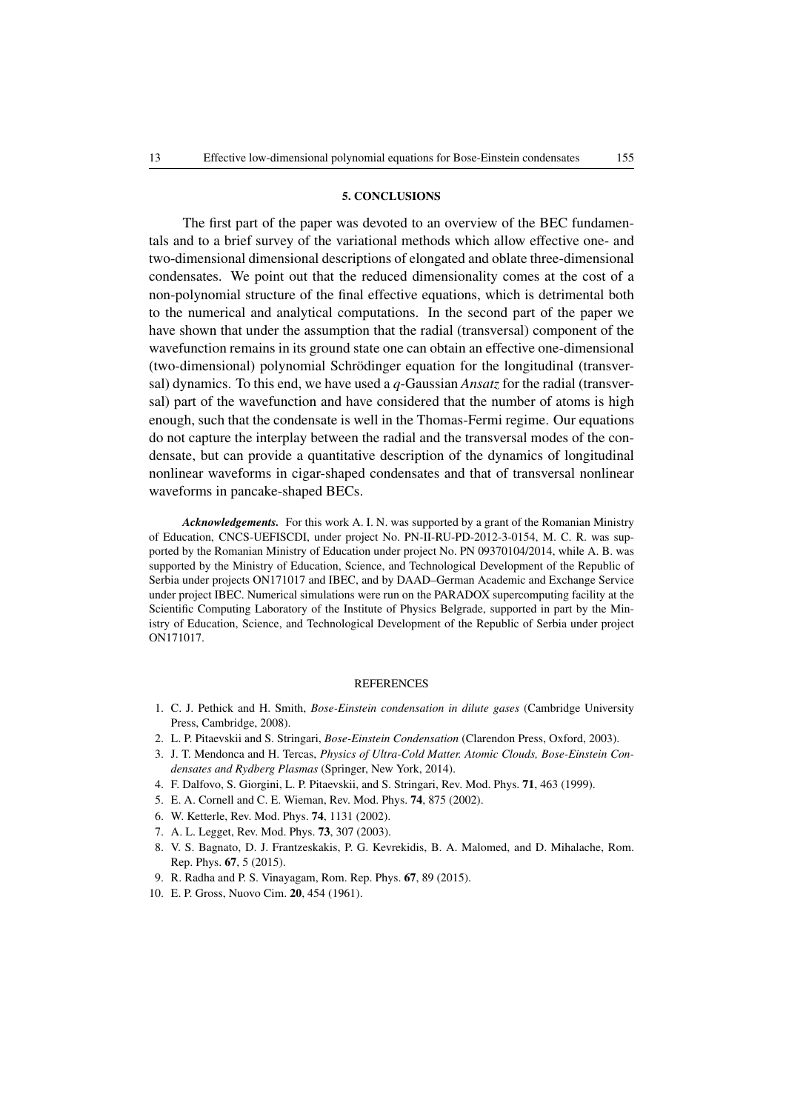#### 5. CONCLUSIONS

The first part of the paper was devoted to an overview of the BEC fundamentals and to a brief survey of the variational methods which allow effective one- and two-dimensional dimensional descriptions of elongated and oblate three-dimensional condensates. We point out that the reduced dimensionality comes at the cost of a non-polynomial structure of the final effective equations, which is detrimental both to the numerical and analytical computations. In the second part of the paper we have shown that under the assumption that the radial (transversal) component of the wavefunction remains in its ground state one can obtain an effective one-dimensional (two-dimensional) polynomial Schrodinger equation for the longitudinal (transver- ¨ sal) dynamics. To this end, we have used a *q*-Gaussian *Ansatz* for the radial (transversal) part of the wavefunction and have considered that the number of atoms is high enough, such that the condensate is well in the Thomas-Fermi regime. Our equations do not capture the interplay between the radial and the transversal modes of the condensate, but can provide a quantitative description of the dynamics of longitudinal nonlinear waveforms in cigar-shaped condensates and that of transversal nonlinear waveforms in pancake-shaped BECs.

*Acknowledgements.* For this work A. I. N. was supported by a grant of the Romanian Ministry of Education, CNCS-UEFISCDI, under project No. PN-II-RU-PD-2012-3-0154, M. C. R. was supported by the Romanian Ministry of Education under project No. PN 09370104/2014, while A. B. was supported by the Ministry of Education, Science, and Technological Development of the Republic of Serbia under projects ON171017 and IBEC, and by DAAD–German Academic and Exchange Service under project IBEC. Numerical simulations were run on the PARADOX supercomputing facility at the Scientific Computing Laboratory of the Institute of Physics Belgrade, supported in part by the Ministry of Education, Science, and Technological Development of the Republic of Serbia under project ON171017.

#### **REFERENCES**

- <span id="page-12-0"></span>1. C. J. Pethick and H. Smith, *Bose-Einstein condensation in dilute gases* (Cambridge University Press, Cambridge, 2008).
- 2. L. P. Pitaevskii and S. Stringari, *Bose-Einstein Condensation* (Clarendon Press, Oxford, 2003).
- <span id="page-12-1"></span>3. J. T. Mendonca and H. Tercas, *Physics of Ultra-Cold Matter. Atomic Clouds, Bose-Einstein Condensates and Rydberg Plasmas* (Springer, New York, 2014).
- <span id="page-12-2"></span>4. F. Dalfovo, S. Giorgini, L. P. Pitaevskii, and S. Stringari, Rev. Mod. Phys. 71, 463 (1999).
- 5. E. A. Cornell and C. E. Wieman, Rev. Mod. Phys. 74, 875 (2002).
- 6. W. Ketterle, Rev. Mod. Phys. 74, 1131 (2002).
- 7. A. L. Legget, Rev. Mod. Phys. 73, 307 (2003).
- 8. V. S. Bagnato, D. J. Frantzeskakis, P. G. Kevrekidis, B. A. Malomed, and D. Mihalache, Rom. Rep. Phys. 67, 5 (2015).
- <span id="page-12-3"></span>9. R. Radha and P. S. Vinayagam, Rom. Rep. Phys. 67, 89 (2015).
- <span id="page-12-4"></span>10. E. P. Gross, Nuovo Cim. 20, 454 (1961).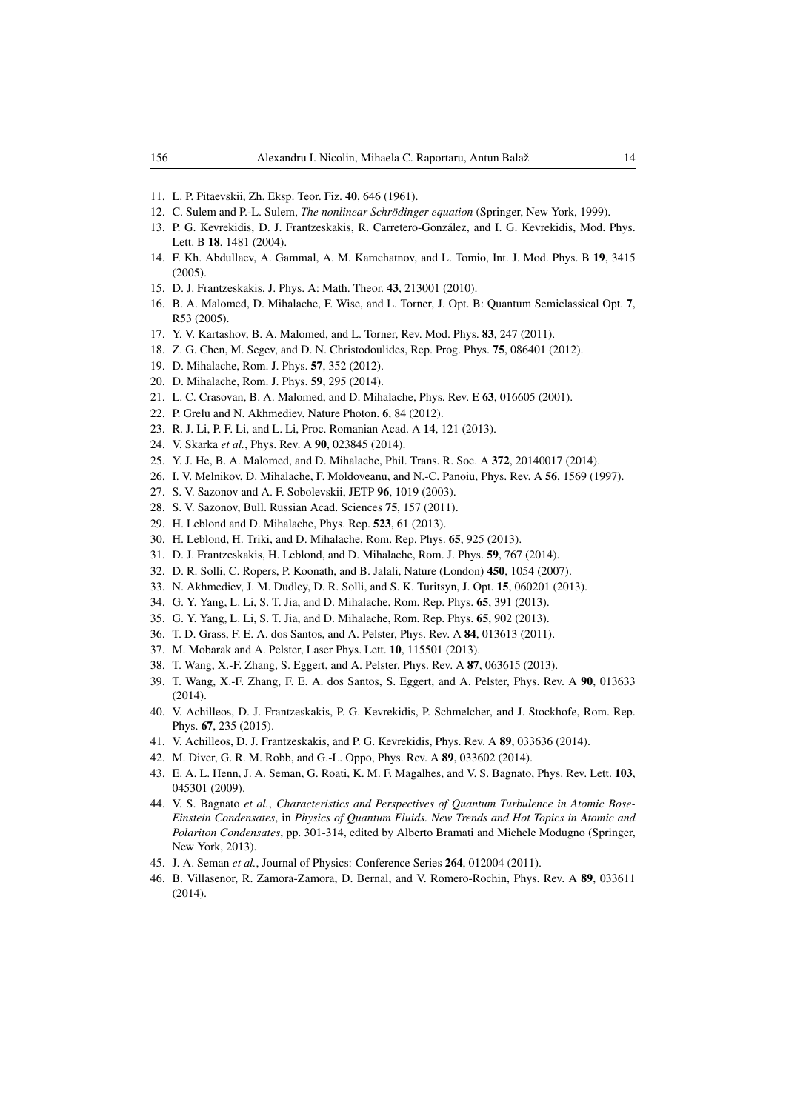- <span id="page-13-0"></span>11. L. P. Pitaevskii, Zh. Eksp. Teor. Fiz. 40, 646 (1961).
- <span id="page-13-1"></span>12. C. Sulem and P.-L. Sulem, *The nonlinear Schrödinger equation* (Springer, New York, 1999).
- <span id="page-13-2"></span>13. P. G. Kevrekidis, D. J. Frantzeskakis, R. Carretero-Gonzalez, and I. G. Kevrekidis, Mod. Phys. ´ Lett. B 18, 1481 (2004).
- 14. F. Kh. Abdullaev, A. Gammal, A. M. Kamchatnov, and L. Tomio, Int. J. Mod. Phys. B 19, 3415  $(2005)$ .
- <span id="page-13-3"></span>15. D. J. Frantzeskakis, J. Phys. A: Math. Theor. 43, 213001 (2010).
- <span id="page-13-4"></span>16. B. A. Malomed, D. Mihalache, F. Wise, and L. Torner, J. Opt. B: Quantum Semiclassical Opt. 7, R53 (2005).
- 17. Y. V. Kartashov, B. A. Malomed, and L. Torner, Rev. Mod. Phys. 83, 247 (2011).
- 18. Z. G. Chen, M. Segev, and D. N. Christodoulides, Rep. Prog. Phys. 75, 086401 (2012).
- 19. D. Mihalache, Rom. J. Phys. 57, 352 (2012).
- <span id="page-13-5"></span>20. D. Mihalache, Rom. J. Phys. 59, 295 (2014).
- <span id="page-13-6"></span>21. L. C. Crasovan, B. A. Malomed, and D. Mihalache, Phys. Rev. E 63, 016605 (2001).
- 22. P. Grelu and N. Akhmediev, Nature Photon. 6, 84 (2012).
- 23. R. J. Li, P. F. Li, and L. Li, Proc. Romanian Acad. A 14, 121 (2013).
- 24. V. Skarka *et al.*, Phys. Rev. A 90, 023845 (2014).
- <span id="page-13-7"></span>25. Y. J. He, B. A. Malomed, and D. Mihalache, Phil. Trans. R. Soc. A 372, 20140017 (2014).
- <span id="page-13-8"></span>26. I. V. Melnikov, D. Mihalache, F. Moldoveanu, and N.-C. Panoiu, Phys. Rev. A 56, 1569 (1997).
- 27. S. V. Sazonov and A. F. Sobolevskii, JETP 96, 1019 (2003).
- 28. S. V. Sazonov, Bull. Russian Acad. Sciences 75, 157 (2011).
- 29. H. Leblond and D. Mihalache, Phys. Rep. 523, 61 (2013).
- 30. H. Leblond, H. Triki, and D. Mihalache, Rom. Rep. Phys. 65, 925 (2013).
- <span id="page-13-9"></span>31. D. J. Frantzeskakis, H. Leblond, and D. Mihalache, Rom. J. Phys. 59, 767 (2014).
- <span id="page-13-10"></span>32. D. R. Solli, C. Ropers, P. Koonath, and B. Jalali, Nature (London) 450, 1054 (2007).
- 33. N. Akhmediev, J. M. Dudley, D. R. Solli, and S. K. Turitsyn, J. Opt. 15, 060201 (2013).
- 34. G. Y. Yang, L. Li, S. T. Jia, and D. Mihalache, Rom. Rep. Phys. 65, 391 (2013).
- <span id="page-13-11"></span>35. G. Y. Yang, L. Li, S. T. Jia, and D. Mihalache, Rom. Rep. Phys. 65, 902 (2013).
- <span id="page-13-12"></span>36. T. D. Grass, F. E. A. dos Santos, and A. Pelster, Phys. Rev. A 84, 013613 (2011).
- 37. M. Mobarak and A. Pelster, Laser Phys. Lett. 10, 115501 (2013).
- 38. T. Wang, X.-F. Zhang, S. Eggert, and A. Pelster, Phys. Rev. A 87, 063615 (2013).
- <span id="page-13-13"></span>39. T. Wang, X.-F. Zhang, F. E. A. dos Santos, S. Eggert, and A. Pelster, Phys. Rev. A 90, 013633  $(2014)$ .
- <span id="page-13-14"></span>40. V. Achilleos, D. J. Frantzeskakis, P. G. Kevrekidis, P. Schmelcher, and J. Stockhofe, Rom. Rep. Phys. 67, 235 (2015).
- <span id="page-13-15"></span>41. V. Achilleos, D. J. Frantzeskakis, and P. G. Kevrekidis, Phys. Rev. A 89, 033636 (2014).
- <span id="page-13-16"></span>42. M. Diver, G. R. M. Robb, and G.-L. Oppo, Phys. Rev. A 89, 033602 (2014).
- 43. E. A. L. Henn, J. A. Seman, G. Roati, K. M. F. Magalhes, and V. S. Bagnato, Phys. Rev. Lett. 103, 045301 (2009).
- 44. V. S. Bagnato *et al.*, *Characteristics and Perspectives of Quantum Turbulence in Atomic Bose-Einstein Condensates*, in *Physics of Quantum Fluids. New Trends and Hot Topics in Atomic and Polariton Condensates*, pp. 301-314, edited by Alberto Bramati and Michele Modugno (Springer, New York, 2013).
- 45. J. A. Seman *et al.*, Journal of Physics: Conference Series 264, 012004 (2011).
- 46. B. Villasenor, R. Zamora-Zamora, D. Bernal, and V. Romero-Rochin, Phys. Rev. A 89, 033611 (2014).